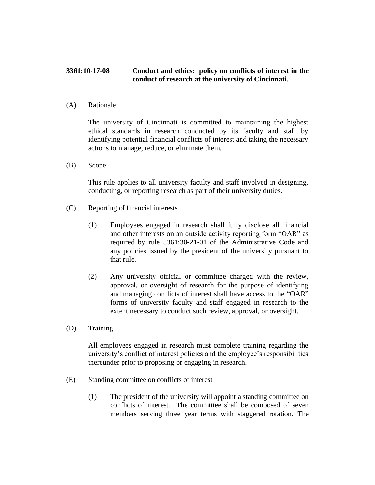## **3361:10-17-08 Conduct and ethics: policy on conflicts of interest in the conduct of research at the university of Cincinnati.**

(A) Rationale

The university of Cincinnati is committed to maintaining the highest ethical standards in research conducted by its faculty and staff by identifying potential financial conflicts of interest and taking the necessary actions to manage, reduce, or eliminate them.

(B) Scope

This rule applies to all university faculty and staff involved in designing, conducting, or reporting research as part of their university duties.

- (C) Reporting of financial interests
	- (1) Employees engaged in research shall fully disclose all financial and other interests on an outside activity reporting form "OAR" as required by rule 3361:30-21-01 of the Administrative Code and any policies issued by the president of the university pursuant to that rule.
	- (2) Any university official or committee charged with the review, approval, or oversight of research for the purpose of identifying and managing conflicts of interest shall have access to the "OAR" forms of university faculty and staff engaged in research to the extent necessary to conduct such review, approval, or oversight.
- (D) Training

All employees engaged in research must complete training regarding the university's conflict of interest policies and the employee's responsibilities thereunder prior to proposing or engaging in research.

- (E) Standing committee on conflicts of interest
	- (1) The president of the university will appoint a standing committee on conflicts of interest. The committee shall be composed of seven members serving three year terms with staggered rotation. The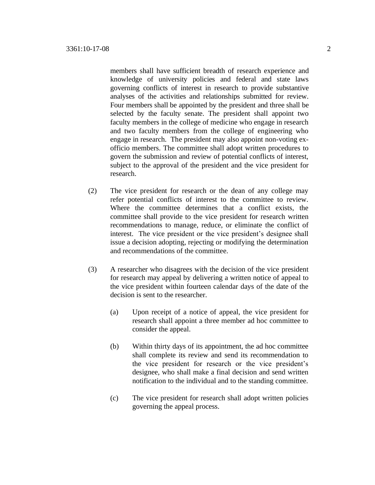members shall have sufficient breadth of research experience and knowledge of university policies and federal and state laws governing conflicts of interest in research to provide substantive analyses of the activities and relationships submitted for review. Four members shall be appointed by the president and three shall be selected by the faculty senate. The president shall appoint two faculty members in the college of medicine who engage in research and two faculty members from the college of engineering who engage in research. The president may also appoint non-voting exofficio members. The committee shall adopt written procedures to govern the submission and review of potential conflicts of interest, subject to the approval of the president and the vice president for research.

- (2) The vice president for research or the dean of any college may refer potential conflicts of interest to the committee to review. Where the committee determines that a conflict exists, the committee shall provide to the vice president for research written recommendations to manage, reduce, or eliminate the conflict of interest. The vice president or the vice president's designee shall issue a decision adopting, rejecting or modifying the determination and recommendations of the committee.
- (3) A researcher who disagrees with the decision of the vice president for research may appeal by delivering a written notice of appeal to the vice president within fourteen calendar days of the date of the decision is sent to the researcher.
	- (a) Upon receipt of a notice of appeal, the vice president for research shall appoint a three member ad hoc committee to consider the appeal.
	- (b) Within thirty days of its appointment, the ad hoc committee shall complete its review and send its recommendation to the vice president for research or the vice president's designee, who shall make a final decision and send written notification to the individual and to the standing committee.
	- (c) The vice president for research shall adopt written policies governing the appeal process.